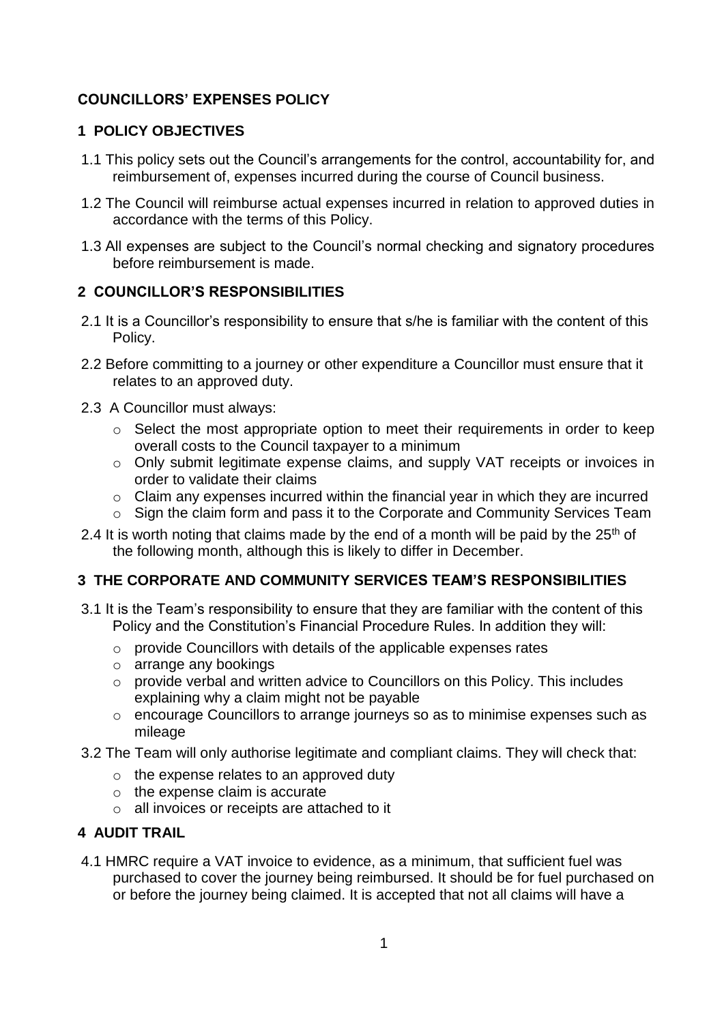# **COUNCILLORS' EXPENSES POLICY**

## **1 POLICY OBJECTIVES**

- 1.1 This policy sets out the Council's arrangements for the control, accountability for, and reimbursement of, expenses incurred during the course of Council business.
- 1.2 The Council will reimburse actual expenses incurred in relation to approved duties in accordance with the terms of this Policy.
- 1.3 All expenses are subject to the Council's normal checking and signatory procedures before reimbursement is made.

# **2 COUNCILLOR'S RESPONSIBILITIES**

- 2.1 It is a Councillor's responsibility to ensure that s/he is familiar with the content of this Policy.
- 2.2 Before committing to a journey or other expenditure a Councillor must ensure that it relates to an approved duty.
- 2.3 A Councillor must always:
	- o Select the most appropriate option to meet their requirements in order to keep overall costs to the Council taxpayer to a minimum
	- o Only submit legitimate expense claims, and supply VAT receipts or invoices in order to validate their claims
	- o Claim any expenses incurred within the financial year in which they are incurred
	- o Sign the claim form and pass it to the Corporate and Community Services Team
- 2.4 It is worth noting that claims made by the end of a month will be paid by the  $25<sup>th</sup>$  of the following month, although this is likely to differ in December.

## **3 THE CORPORATE AND COMMUNITY SERVICES TEAM'S RESPONSIBILITIES**

- 3.1 It is the Team's responsibility to ensure that they are familiar with the content of this Policy and the Constitution's Financial Procedure Rules. In addition they will:
	- o provide Councillors with details of the applicable expenses rates
	- o arrange any bookings
	- o provide verbal and written advice to Councillors on this Policy. This includes explaining why a claim might not be payable
	- o encourage Councillors to arrange journeys so as to minimise expenses such as mileage
- 3.2 The Team will only authorise legitimate and compliant claims. They will check that:
	- o the expense relates to an approved duty
	- o the expense claim is accurate
	- o all invoices or receipts are attached to it

## **4 AUDIT TRAIL**

4.1 HMRC require a VAT invoice to evidence, as a minimum, that sufficient fuel was purchased to cover the journey being reimbursed. It should be for fuel purchased on or before the journey being claimed. It is accepted that not all claims will have a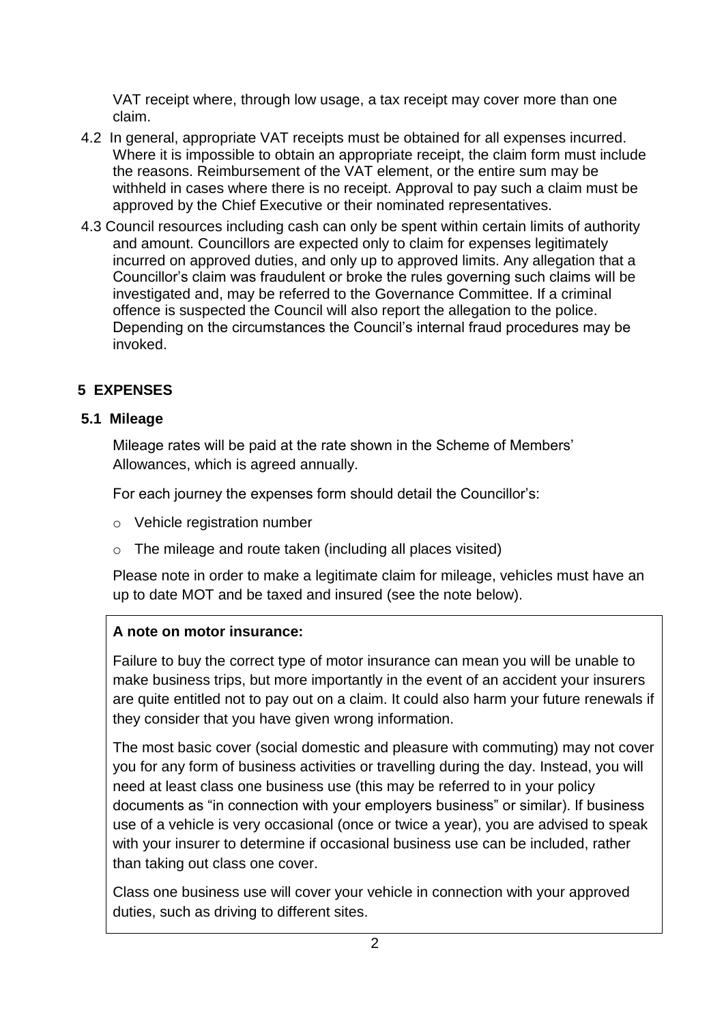VAT receipt where, through low usage, a tax receipt may cover more than one claim.

- 4.2 In general, appropriate VAT receipts must be obtained for all expenses incurred. Where it is impossible to obtain an appropriate receipt, the claim form must include the reasons. Reimbursement of the VAT element, or the entire sum may be withheld in cases where there is no receipt. Approval to pay such a claim must be approved by the Chief Executive or their nominated representatives.
- 4.3 Council resources including cash can only be spent within certain limits of authority and amount. Councillors are expected only to claim for expenses legitimately incurred on approved duties, and only up to approved limits. Any allegation that a Councillor's claim was fraudulent or broke the rules governing such claims will be investigated and, may be referred to the Governance Committee. If a criminal offence is suspected the Council will also report the allegation to the police. Depending on the circumstances the Council's internal fraud procedures may be invoked.

# **5 EXPENSES**

# **5.1 Mileage**

Mileage rates will be paid at the rate shown in the Scheme of Members' Allowances, which is agreed annually.

For each journey the expenses form should detail the Councillor's:

- o Vehicle registration number
- o The mileage and route taken (including all places visited)

Please note in order to make a legitimate claim for mileage, vehicles must have an up to date MOT and be taxed and insured (see the note below).

## **A note on motor insurance:**

Failure to buy the correct type of motor insurance can mean you will be unable to make business trips, but more importantly in the event of an accident your insurers are quite entitled not to pay out on a claim. It could also harm your future renewals if they consider that you have given wrong information.

The most basic cover (social domestic and pleasure with commuting) may not cover you for any form of business activities or travelling during the day. Instead, you will need at least class one business use (this may be referred to in your policy documents as "in connection with your employers business" or similar). If business use of a vehicle is very occasional (once or twice a year), you are advised to speak with your insurer to determine if occasional business use can be included, rather than taking out class one cover.

Class one business use will cover your vehicle in connection with your approved duties, such as driving to different sites.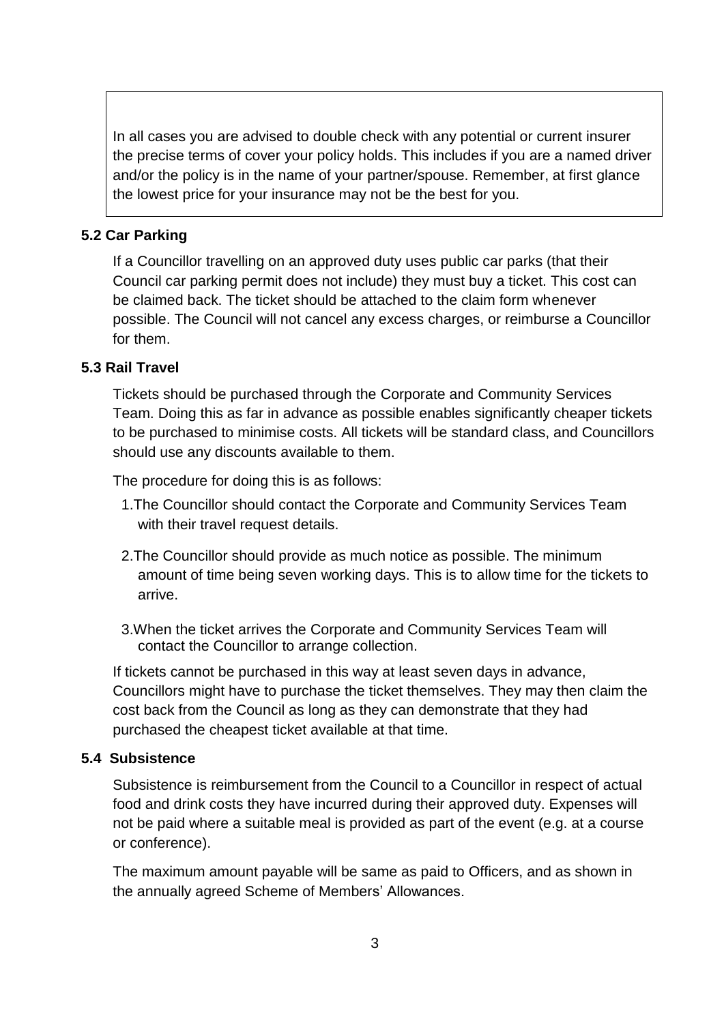In all cases you are advised to double check with any potential or current insurer the precise terms of cover your policy holds. This includes if you are a named driver and/or the policy is in the name of your partner/spouse. Remember, at first glance the lowest price for your insurance may not be the best for you.

## **5.2 Car Parking**

If a Councillor travelling on an approved duty uses public car parks (that their Council car parking permit does not include) they must buy a ticket. This cost can be claimed back. The ticket should be attached to the claim form whenever possible. The Council will not cancel any excess charges, or reimburse a Councillor for them.

## **5.3 Rail Travel**

Tickets should be purchased through the Corporate and Community Services Team. Doing this as far in advance as possible enables significantly cheaper tickets to be purchased to minimise costs. All tickets will be standard class, and Councillors should use any discounts available to them.

The procedure for doing this is as follows:

- 1.The Councillor should contact the Corporate and Community Services Team with their travel request details.
- 2.The Councillor should provide as much notice as possible. The minimum amount of time being seven working days. This is to allow time for the tickets to arrive.
- 3.When the ticket arrives the Corporate and Community Services Team will contact the Councillor to arrange collection.

If tickets cannot be purchased in this way at least seven days in advance, Councillors might have to purchase the ticket themselves. They may then claim the cost back from the Council as long as they can demonstrate that they had purchased the cheapest ticket available at that time.

## **5.4 Subsistence**

Subsistence is reimbursement from the Council to a Councillor in respect of actual food and drink costs they have incurred during their approved duty. Expenses will not be paid where a suitable meal is provided as part of the event (e.g. at a course or conference).

The maximum amount payable will be same as paid to Officers, and as shown in the annually agreed Scheme of Members' Allowances.